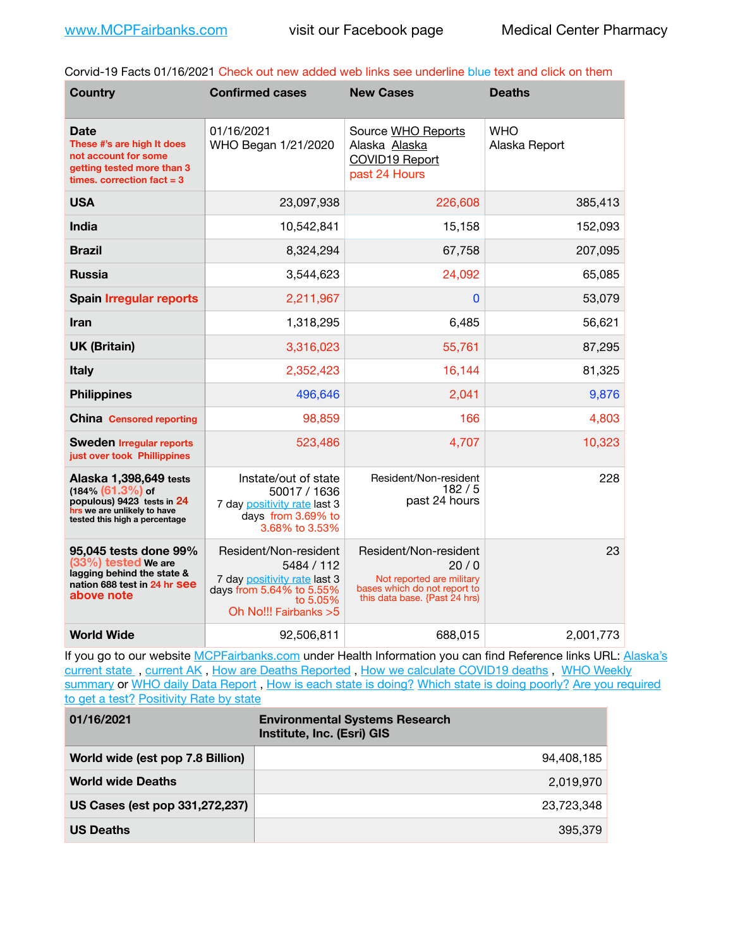Corvid-19 Facts 01/16/2021 Check out new added web links see underline blue text and click on them

| <b>Country</b>                                                                                                                                 | <b>Confirmed cases</b>                                                                                                               | <b>New Cases</b>                                                                                                            | <b>Deaths</b>               |
|------------------------------------------------------------------------------------------------------------------------------------------------|--------------------------------------------------------------------------------------------------------------------------------------|-----------------------------------------------------------------------------------------------------------------------------|-----------------------------|
| <b>Date</b><br>These #'s are high It does<br>not account for some<br>getting tested more than 3<br>times, correction fact $=$ 3                | 01/16/2021<br>WHO Began 1/21/2020                                                                                                    | Source WHO Reports<br>Alaska Alaska<br>COVID19 Report<br>past 24 Hours                                                      | <b>WHO</b><br>Alaska Report |
| <b>USA</b>                                                                                                                                     | 23,097,938                                                                                                                           | 226,608                                                                                                                     | 385,413                     |
| <b>India</b>                                                                                                                                   | 10,542,841                                                                                                                           | 15,158                                                                                                                      | 152,093                     |
| <b>Brazil</b>                                                                                                                                  | 8,324,294                                                                                                                            | 67,758                                                                                                                      | 207,095                     |
| <b>Russia</b>                                                                                                                                  | 3,544,623                                                                                                                            | 24,092                                                                                                                      | 65,085                      |
| <b>Spain Irregular reports</b>                                                                                                                 | 2,211,967                                                                                                                            | $\bf{0}$                                                                                                                    | 53,079                      |
| Iran                                                                                                                                           | 1,318,295                                                                                                                            | 6,485                                                                                                                       | 56,621                      |
| <b>UK (Britain)</b>                                                                                                                            | 3,316,023                                                                                                                            | 55,761                                                                                                                      | 87,295                      |
| <b>Italy</b>                                                                                                                                   | 2,352,423                                                                                                                            | 16,144                                                                                                                      | 81,325                      |
| <b>Philippines</b>                                                                                                                             | 496,646                                                                                                                              | 2,041                                                                                                                       | 9,876                       |
| <b>China</b> Censored reporting                                                                                                                | 98,859                                                                                                                               | 166                                                                                                                         | 4,803                       |
| <b>Sweden Irregular reports</b><br>just over took Phillippines                                                                                 | 523,486                                                                                                                              | 4,707                                                                                                                       | 10,323                      |
| Alaska 1,398,649 tests<br>$(184\%$ $(61.3\%)$ of<br>populous) 9423 tests in 24<br>hrs we are unlikely to have<br>tested this high a percentage | Instate/out of state<br>50017 / 1636<br>7 day positivity rate last 3<br>days from 3.69% to<br>3.68% to 3.53%                         | Resident/Non-resident<br>182/5<br>past 24 hours                                                                             | 228                         |
| 95,045 tests done 99%<br>$(33%)$ tested We are<br>lagging behind the state &<br>nation 688 test in 24 hr See<br>above note                     | Resident/Non-resident<br>5484 / 112<br>7 day positivity rate last 3<br>days from 5.64% to 5.55%<br>to 5.05%<br>Oh No!!! Fairbanks >5 | Resident/Non-resident<br>20/0<br>Not reported are military<br>bases which do not report to<br>this data base. {Past 24 hrs) | 23                          |
| <b>World Wide</b>                                                                                                                              | 92,506,811                                                                                                                           | 688,015                                                                                                                     | 2,001,773                   |

If you go to our website [MCPFairbanks.com](http://www.MCPFairbanks.com) under Health Information you can find Reference links URL: Alaska's current state, current AK, [How are Deaths Reported](http://dhss.alaska.gov/dph/Epi/id/Pages/COVID-19/deathcounts.aspx), [How we calculate COVID19 deaths](https://coronavirus-response-alaska-dhss.hub.arcgis.com/search?collection=Document&groupIds=41ccb3344ebc4bd682c74073eba21f42), WHO Weekly [summary](http://www.who.int) or [WHO daily Data Report](https://covid19.who.int/table), [How is each state is doing?](https://www.msn.com/en-us/news/us/state-by-state-coronavirus-news/ar-BB13E1PX?fbclid=IwAR0_OBJH7lSyTN3ug_MsOeFnNgB1orTa9OBgilKJ7dhnwlVvHEsptuKkj1c) [Which state is doing poorly?](https://bestlifeonline.com/covid-outbreak-your-state/?utm_source=nsltr&utm_medium=email&utm_content=covid-outbreak-your-state&utm_campaign=launch) Are you required [to get a test?](http://dhss.alaska.gov/dph/Epi/id/SiteAssets/Pages/HumanCoV/Whattodoafteryourtest.pdf) [Positivity Rate by state](https://coronavirus.jhu.edu/testing/individual-states/alaska)

| 01/16/2021                       | <b>Environmental Systems Research</b><br>Institute, Inc. (Esri) GIS |
|----------------------------------|---------------------------------------------------------------------|
| World wide (est pop 7.8 Billion) | 94.408.185                                                          |
| <b>World wide Deaths</b>         | 2,019,970                                                           |
| US Cases (est pop 331,272,237)   | 23,723,348                                                          |
| <b>US Deaths</b>                 | 395,379                                                             |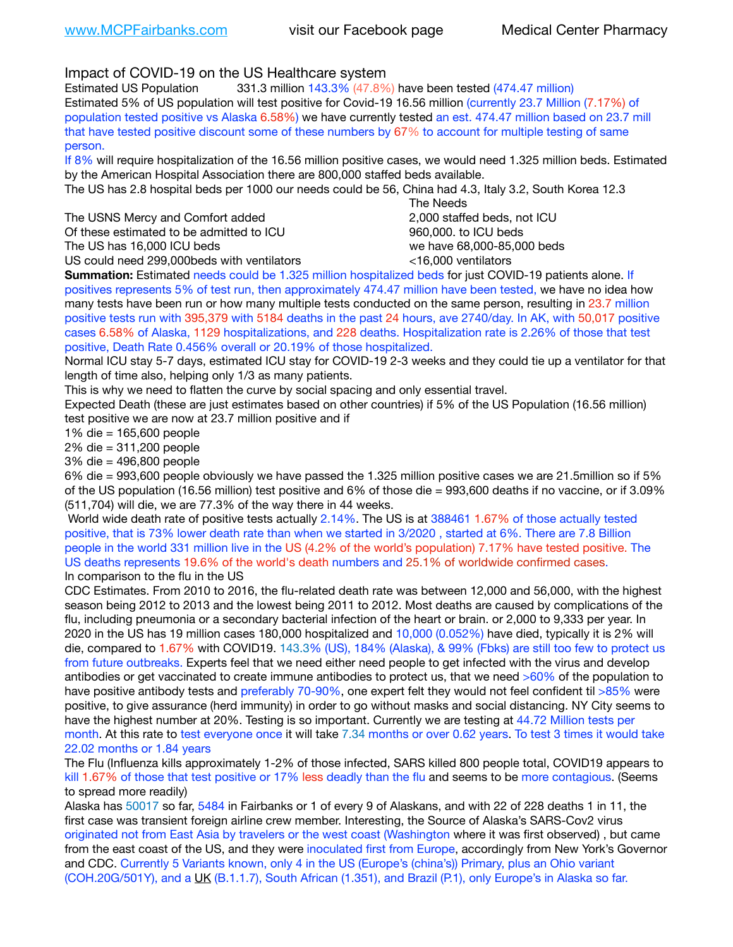Impact of COVID-19 on the US Healthcare system

Estimated US Population 331.3 million 143.3% (47.8%) have been tested (474.47 million) Estimated 5% of US population will test positive for Covid-19 16.56 million (currently 23.7 Million (7.17%) of population tested positive vs Alaska 6.58%) we have currently tested an est. 474.47 million based on 23.7 mill that have tested positive discount some of these numbers by 67% to account for multiple testing of same person.

If 8% will require hospitalization of the 16.56 million positive cases, we would need 1.325 million beds. Estimated by the American Hospital Association there are 800,000 staffed beds available.

The US has 2.8 hospital beds per 1000 our needs could be 56, China had 4.3, Italy 3.2, South Korea 12.3

The USNS Mercy and Comfort added **8.2000** staffed beds, not ICU Of these estimated to be admitted to ICU 860,000. to ICU beds The US has 16,000 ICU beds we have 68,000-85,000 beds

US could need 299,000beds with ventilators <16,000 ventilators

 The Needs

**Summation:** Estimated needs could be 1.325 million hospitalized beds for just COVID-19 patients alone. If positives represents 5% of test run, then approximately 474.47 million have been tested, we have no idea how many tests have been run or how many multiple tests conducted on the same person, resulting in 23.7 million positive tests run with 395,379 with 5184 deaths in the past 24 hours, ave 2740/day. In AK, with 50,017 positive cases 6.58% of Alaska, 1129 hospitalizations, and 228 deaths. Hospitalization rate is 2.26% of those that test positive, Death Rate 0.456% overall or 20.19% of those hospitalized.

Normal ICU stay 5-7 days, estimated ICU stay for COVID-19 2-3 weeks and they could tie up a ventilator for that length of time also, helping only 1/3 as many patients.

This is why we need to flatten the curve by social spacing and only essential travel.

Expected Death (these are just estimates based on other countries) if 5% of the US Population (16.56 million) test positive we are now at 23.7 million positive and if

1% die = 165,600 people

2% die = 311,200 people

3% die = 496,800 people

6% die = 993,600 people obviously we have passed the 1.325 million positive cases we are 21.5million so if 5% of the US population (16.56 million) test positive and 6% of those die = 993,600 deaths if no vaccine, or if 3.09% (511,704) will die, we are 77.3% of the way there in 44 weeks.

 World wide death rate of positive tests actually 2.14%. The US is at 388461 1.67% of those actually tested positive, that is 73% lower death rate than when we started in 3/2020 , started at 6%. There are 7.8 Billion people in the world 331 million live in the US (4.2% of the world's population) 7.17% have tested positive. The US deaths represents 19.6% of the world's death numbers and 25.1% of worldwide confirmed cases. In comparison to the flu in the US

CDC Estimates. From 2010 to 2016, the flu-related death rate was between 12,000 and 56,000, with the highest season being 2012 to 2013 and the lowest being 2011 to 2012. Most deaths are caused by complications of the flu, including pneumonia or a secondary bacterial infection of the heart or brain. or 2,000 to 9,333 per year. In 2020 in the US has 19 million cases 180,000 hospitalized and 10,000 (0.052%) have died, typically it is 2% will die, compared to 1.67% with COVID19. 143.3% (US), 184% (Alaska), & 99% (Fbks) are still too few to protect us from future outbreaks. Experts feel that we need either need people to get infected with the virus and develop antibodies or get vaccinated to create immune antibodies to protect us, that we need >60% of the population to have positive antibody tests and preferably 70-90%, one expert felt they would not feel confident til >85% were positive, to give assurance (herd immunity) in order to go without masks and social distancing. NY City seems to have the highest number at 20%. Testing is so important. Currently we are testing at 44.72 Million tests per month. At this rate to test everyone once it will take 7.34 months or over 0.62 years. To test 3 times it would take 22.02 months or 1.84 years

The Flu (Influenza kills approximately 1-2% of those infected, SARS killed 800 people total, COVID19 appears to kill 1.67% of those that test positive or 17% less deadly than the flu and seems to be more contagious. (Seems to spread more readily)

Alaska has 50017 so far, 5484 in Fairbanks or 1 of every 9 of Alaskans, and with 22 of 228 deaths 1 in 11, the first case was transient foreign airline crew member. Interesting, the Source of Alaska's SARS-Cov2 virus originated not from East Asia by travelers or the west coast (Washington where it was first observed) , but came from the east coast of the US, and they were inoculated first from Europe, accordingly from New York's Governor and CDC. Currently 5 Variants known, only 4 in the US (Europe's (china's)) Primary, plus an Ohio variant (COH.20G/501Y), and a [UK](https://www.cdc.gov/coronavirus/2019-ncov/transmission/variant-cases.html) (B.1.1.7), South African (1.351), and Brazil (P.1), only Europe's in Alaska so far.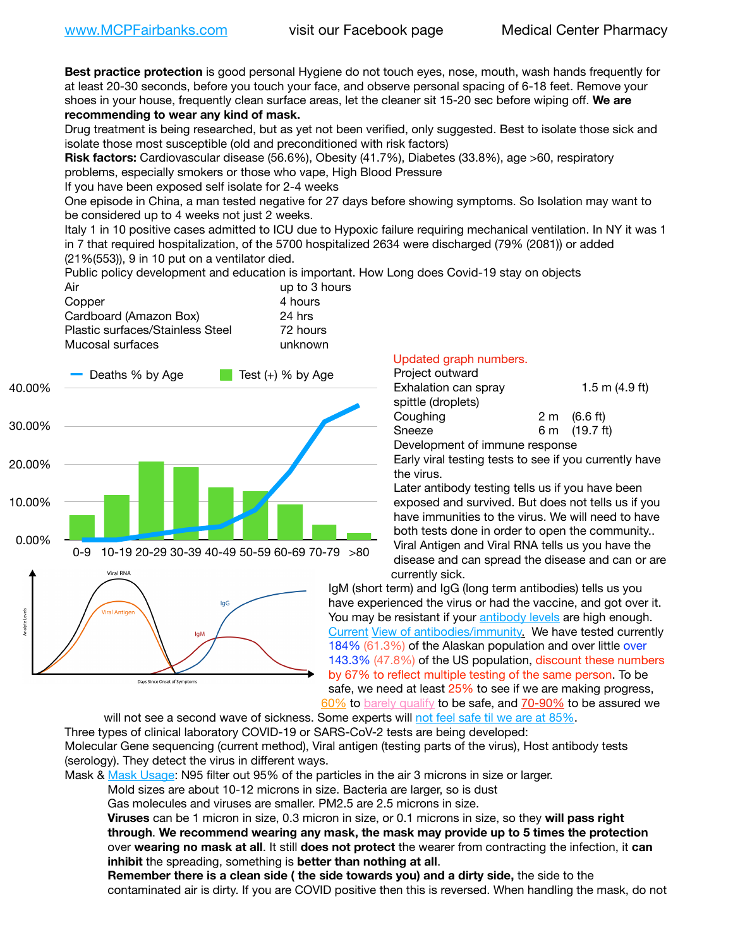**Best practice protection** is good personal Hygiene do not touch eyes, nose, mouth, wash hands frequently for at least 20-30 seconds, before you touch your face, and observe personal spacing of 6-18 feet. Remove your shoes in your house, frequently clean surface areas, let the cleaner sit 15-20 sec before wiping off. **We are recommending to wear any kind of mask.**

Drug treatment is being researched, but as yet not been verified, only suggested. Best to isolate those sick and isolate those most susceptible (old and preconditioned with risk factors)

**Risk factors:** Cardiovascular disease (56.6%), Obesity (41.7%), Diabetes (33.8%), age >60, respiratory problems, especially smokers or those who vape, High Blood Pressure

If you have been exposed self isolate for 2-4 weeks

One episode in China, a man tested negative for 27 days before showing symptoms. So Isolation may want to be considered up to 4 weeks not just 2 weeks.

Italy 1 in 10 positive cases admitted to ICU due to Hypoxic failure requiring mechanical ventilation. In NY it was 1 in 7 that required hospitalization, of the 5700 hospitalized 2634 were discharged (79% (2081)) or added (21%(553)), 9 in 10 put on a ventilator died.

Public policy development and education is important. How Long does Covid-19 stay on objects

| Air                              | up to 3 hours |
|----------------------------------|---------------|
| Copper                           | 4 hours       |
| Cardboard (Amazon Box)           | 24 hrs        |
| Plastic surfaces/Stainless Steel | 72 hours      |
| Mucosal surfaces                 | unknown       |
|                                  |               |



## Updated graph numbers.

| Project outward                |                        |
|--------------------------------|------------------------|
| Exhalation can spray           | 1.5 m $(4.9$ ft)       |
| spittle (droplets)             |                        |
| Coughing                       | $2 \text{ m}$ (6.6 ft) |
| Sneeze                         | 6 m (19.7 ft)          |
| Development of immune response |                        |

Early viral testing tests to see if you currently have the virus.

Later antibody testing tells us if you have been exposed and survived. But does not tells us if you have immunities to the virus. We will need to have both tests done in order to open the community.. Viral Antigen and Viral RNA tells us you have the disease and can spread the disease and can or are currently sick.

IgM (short term) and IgG (long term antibodies) tells us you have experienced the virus or had the vaccine, and got over it. You may be resistant if your [antibody levels](https://www.cdc.gov/coronavirus/2019-ncov/lab/resources/antibody-tests.html) are high enough. [Current](https://l.facebook.com/l.php?u=https://www.itv.com/news/2020-10-26/covid-19-antibody-levels-reduce-over-time-study-finds?fbclid=IwAR3Dapzh1qIH1EIOdUQI2y8THf7jfA4KBCaJz8Qg-8xe1YsrR4nsAHDIXSY&h=AT30nut8pkqp0heVuz5W2rT2WFFm-2Ab52BsJxZZCNlGsX58IpPkuVEPULbIUV_M16MAukx1Kwb657DPXxsgDN1rpOQ4gqBtQsmVYiWpnHPJo2RQsU6CPMd14lgLnQnFWxfVi6zvmw&__tn__=-UK-R&c%5B0%5D=AT1GaRAfR_nGAyqcn7TI1-PpvqOqEKXHnz6TDWvRStMnOSH7boQDvTiwTOc6VId9UES6LKiOmm2m88wKCoolkJyOFvakt2Z1Mw8toYWGGoWW23r0MNVBl7cYJXB_UOvGklNHaNnaNr1_S7NhT3BSykNOBg) [View of antibodies/immunity](https://www.livescience.com/antibodies.html)[.](https://www.itv.com/news/2020-10-26/covid-19-antibody-levels-reduce-over-time-study-finds) We have tested currently 184% (61.3%) of the Alaskan population and over little over 143.3% (47.8%) of the US population, discount these numbers by 67% to reflect multiple testing of the same person. To be safe, we need at least 25% to see if we are making progress, [60%](https://www.jhsph.edu/covid-19/articles/achieving-herd-immunity-with-covid19.html) to [barely qualify](https://www.nature.com/articles/d41586-020-02948-4) to be safe, and [70-90%](https://www.mayoclinic.org/herd-immunity-and-coronavirus/art-20486808) to be assured we

will not see a second wave of sickness. Some experts will [not feel safe til we are at 85%.](https://www.bannerhealth.com/healthcareblog/teach-me/what-is-herd-immunity) Three types of clinical laboratory COVID-19 or SARS-CoV-2 tests are being developed: Molecular Gene sequencing (current method), Viral antigen (testing parts of the virus), Host antibody tests (serology). They detect the virus in different ways.

Mask & [Mask Usage:](https://www.nationalgeographic.com/history/2020/03/how-cities-flattened-curve-1918-spanish-flu-pandemic-coronavirus/) N95 filter out 95% of the particles in the air 3 microns in size or larger.

Mold sizes are about 10-12 microns in size. Bacteria are larger, so is dust

Gas molecules and viruses are smaller. PM2.5 are 2.5 microns in size.

**Viruses** can be 1 micron in size, 0.3 micron in size, or 0.1 microns in size, so they **will pass right through**. **We recommend wearing any mask, the mask may provide up to 5 times the protection** over **wearing no mask at all**. It still **does not protect** the wearer from contracting the infection, it **can inhibit** the spreading, something is **better than nothing at all**.

**Remember there is a clean side ( the side towards you) and a dirty side,** the side to the contaminated air is dirty. If you are COVID positive then this is reversed. When handling the mask, do not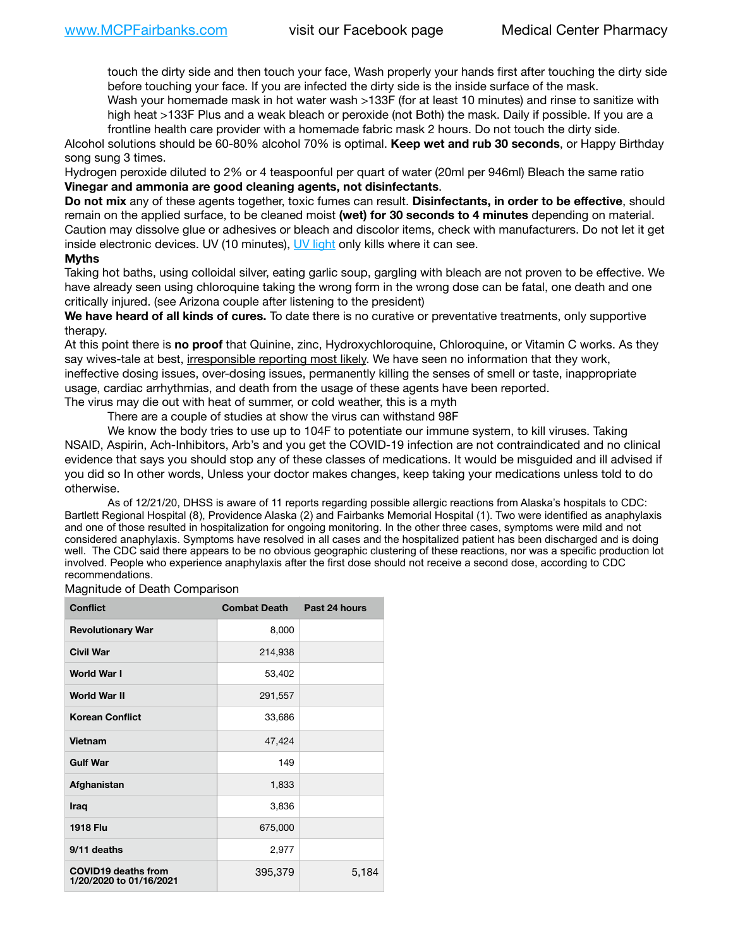touch the dirty side and then touch your face, Wash properly your hands first after touching the dirty side before touching your face. If you are infected the dirty side is the inside surface of the mask.

Wash your homemade mask in hot water wash >133F (for at least 10 minutes) and rinse to sanitize with high heat >133F Plus and a weak bleach or peroxide (not Both) the mask. Daily if possible. If you are a frontline health care provider with a homemade fabric mask 2 hours. Do not touch the dirty side.

Alcohol solutions should be 60-80% alcohol 70% is optimal. **Keep wet and rub 30 seconds**, or Happy Birthday song sung 3 times.

Hydrogen peroxide diluted to 2% or 4 teaspoonful per quart of water (20ml per 946ml) Bleach the same ratio **Vinegar and ammonia are good cleaning agents, not disinfectants**.

**Do not mix** any of these agents together, toxic fumes can result. **Disinfectants, in order to be effective**, should remain on the applied surface, to be cleaned moist **(wet) for 30 seconds to 4 minutes** depending on material. Caution may dissolve glue or adhesives or bleach and discolor items, check with manufacturers. Do not let it get inside electronic devices. UV (10 minutes), [UV light](http://www.docreviews.me/best-uv-boxes-2020/?fbclid=IwAR3bvFtXB48OoBBSvYvTEnKuHNPbipxM6jUo82QUSw9wckxjC7wwRZWabGw) only kills where it can see.

## **Myths**

Taking hot baths, using colloidal silver, eating garlic soup, gargling with bleach are not proven to be effective. We have already seen using chloroquine taking the wrong form in the wrong dose can be fatal, one death and one critically injured. (see Arizona couple after listening to the president)

**We have heard of all kinds of cures.** To date there is no curative or preventative treatments, only supportive therapy.

At this point there is **no proof** that Quinine, zinc, Hydroxychloroquine, Chloroquine, or Vitamin C works. As they say wives-tale at best, irresponsible reporting most likely. We have seen no information that they work, ineffective dosing issues, over-dosing issues, permanently killing the senses of smell or taste, inappropriate usage, cardiac arrhythmias, and death from the usage of these agents have been reported. The virus may die out with heat of summer, or cold weather, this is a myth

There are a couple of studies at show the virus can withstand 98F

We know the body tries to use up to 104F to potentiate our immune system, to kill viruses. Taking NSAID, Aspirin, Ach-Inhibitors, Arb's and you get the COVID-19 infection are not contraindicated and no clinical evidence that says you should stop any of these classes of medications. It would be misguided and ill advised if you did so In other words, Unless your doctor makes changes, keep taking your medications unless told to do otherwise.

As of 12/21/20, DHSS is aware of 11 reports regarding possible allergic reactions from Alaska's hospitals to CDC: Bartlett Regional Hospital (8), Providence Alaska (2) and Fairbanks Memorial Hospital (1). Two were identified as anaphylaxis and one of those resulted in hospitalization for ongoing monitoring. In the other three cases, symptoms were mild and not considered anaphylaxis. Symptoms have resolved in all cases and the hospitalized patient has been discharged and is doing well. The CDC said there appears to be no obvious geographic clustering of these reactions, nor was a specific production lot involved. People who experience anaphylaxis after the first dose should not receive a second dose, according to CDC recommendations.

Magnitude of Death Comparison

| <b>Conflict</b>                                       | <b>Combat Death</b> | Past 24 hours |
|-------------------------------------------------------|---------------------|---------------|
| <b>Revolutionary War</b>                              | 8,000               |               |
| <b>Civil War</b>                                      | 214,938             |               |
| <b>World War I</b>                                    | 53,402              |               |
| <b>World War II</b>                                   | 291,557             |               |
| <b>Korean Conflict</b>                                | 33,686              |               |
| Vietnam                                               | 47,424              |               |
| <b>Gulf War</b>                                       | 149                 |               |
| Afghanistan                                           | 1,833               |               |
| <b>Iraq</b>                                           | 3,836               |               |
| <b>1918 Flu</b>                                       | 675,000             |               |
| 9/11 deaths                                           | 2,977               |               |
| <b>COVID19 deaths from</b><br>1/20/2020 to 01/16/2021 | 395,379             | 5,184         |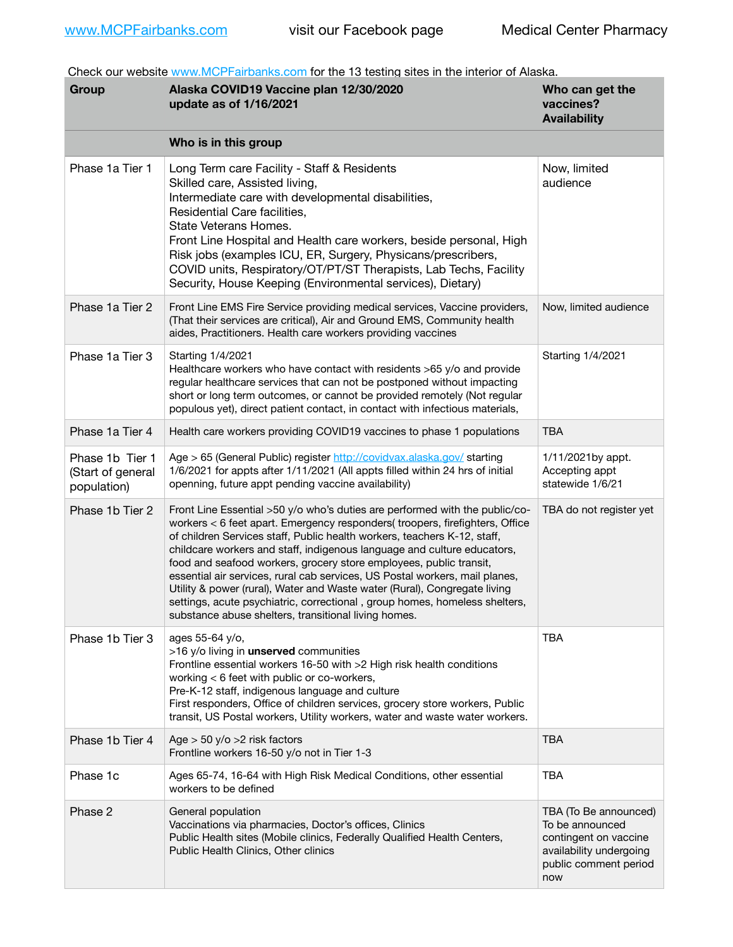Check our website [www.MCPFairbanks.com](http://www.MCPFairbanks.com) for the 13 testing sites in the interior of Alaska.

| Group                                               | Alaska COVID19 Vaccine plan 12/30/2020<br>update as of 1/16/2021                                                                                                                                                                                                                                                                                                                                                                                                                                                                                                                                                                                                                           | Who can get the<br>vaccines?<br><b>Availability</b>                                                                          |
|-----------------------------------------------------|--------------------------------------------------------------------------------------------------------------------------------------------------------------------------------------------------------------------------------------------------------------------------------------------------------------------------------------------------------------------------------------------------------------------------------------------------------------------------------------------------------------------------------------------------------------------------------------------------------------------------------------------------------------------------------------------|------------------------------------------------------------------------------------------------------------------------------|
|                                                     | Who is in this group                                                                                                                                                                                                                                                                                                                                                                                                                                                                                                                                                                                                                                                                       |                                                                                                                              |
| Phase 1a Tier 1                                     | Long Term care Facility - Staff & Residents<br>Skilled care, Assisted living,<br>Intermediate care with developmental disabilities,<br>Residential Care facilities,<br>State Veterans Homes.<br>Front Line Hospital and Health care workers, beside personal, High<br>Risk jobs (examples ICU, ER, Surgery, Physicans/prescribers,<br>COVID units, Respiratory/OT/PT/ST Therapists, Lab Techs, Facility<br>Security, House Keeping (Environmental services), Dietary)                                                                                                                                                                                                                      | Now, limited<br>audience                                                                                                     |
| Phase 1a Tier 2                                     | Front Line EMS Fire Service providing medical services, Vaccine providers,<br>(That their services are critical), Air and Ground EMS, Community health<br>aides, Practitioners. Health care workers providing vaccines                                                                                                                                                                                                                                                                                                                                                                                                                                                                     | Now, limited audience                                                                                                        |
| Phase 1a Tier 3                                     | Starting 1/4/2021<br>Healthcare workers who have contact with residents >65 y/o and provide<br>regular healthcare services that can not be postponed without impacting<br>short or long term outcomes, or cannot be provided remotely (Not regular<br>populous yet), direct patient contact, in contact with infectious materials,                                                                                                                                                                                                                                                                                                                                                         | Starting 1/4/2021                                                                                                            |
| Phase 1a Tier 4                                     | Health care workers providing COVID19 vaccines to phase 1 populations                                                                                                                                                                                                                                                                                                                                                                                                                                                                                                                                                                                                                      | <b>TBA</b>                                                                                                                   |
| Phase 1b Tier 1<br>(Start of general<br>population) | Age > 65 (General Public) register http://covidvax.alaska.gov/ starting<br>1/6/2021 for appts after 1/11/2021 (All appts filled within 24 hrs of initial<br>openning, future appt pending vaccine availability)                                                                                                                                                                                                                                                                                                                                                                                                                                                                            | 1/11/2021by appt.<br>Accepting appt<br>statewide 1/6/21                                                                      |
| Phase 1b Tier 2                                     | Front Line Essential >50 y/o who's duties are performed with the public/co-<br>workers < 6 feet apart. Emergency responders( troopers, firefighters, Office<br>of children Services staff, Public health workers, teachers K-12, staff,<br>childcare workers and staff, indigenous language and culture educators,<br>food and seafood workers, grocery store employees, public transit,<br>essential air services, rural cab services, US Postal workers, mail planes,<br>Utility & power (rural), Water and Waste water (Rural), Congregate living<br>settings, acute psychiatric, correctional, group homes, homeless shelters,<br>substance abuse shelters, transitional living homes. | TBA do not register yet                                                                                                      |
| Phase 1b Tier 3                                     | ages 55-64 y/o.<br>>16 y/o living in unserved communities<br>Frontline essential workers 16-50 with >2 High risk health conditions<br>working < 6 feet with public or co-workers,<br>Pre-K-12 staff, indigenous language and culture<br>First responders, Office of children services, grocery store workers, Public<br>transit, US Postal workers, Utility workers, water and waste water workers.                                                                                                                                                                                                                                                                                        | <b>TBA</b>                                                                                                                   |
| Phase 1b Tier 4                                     | Age $>$ 50 y/o $>$ 2 risk factors<br>Frontline workers 16-50 y/o not in Tier 1-3                                                                                                                                                                                                                                                                                                                                                                                                                                                                                                                                                                                                           | <b>TBA</b>                                                                                                                   |
| Phase 1c                                            | Ages 65-74, 16-64 with High Risk Medical Conditions, other essential<br>workers to be defined                                                                                                                                                                                                                                                                                                                                                                                                                                                                                                                                                                                              | <b>TBA</b>                                                                                                                   |
| Phase 2                                             | General population<br>Vaccinations via pharmacies, Doctor's offices, Clinics<br>Public Health sites (Mobile clinics, Federally Qualified Health Centers,<br>Public Health Clinics, Other clinics                                                                                                                                                                                                                                                                                                                                                                                                                                                                                           | TBA (To Be announced)<br>To be announced<br>contingent on vaccine<br>availability undergoing<br>public comment period<br>now |